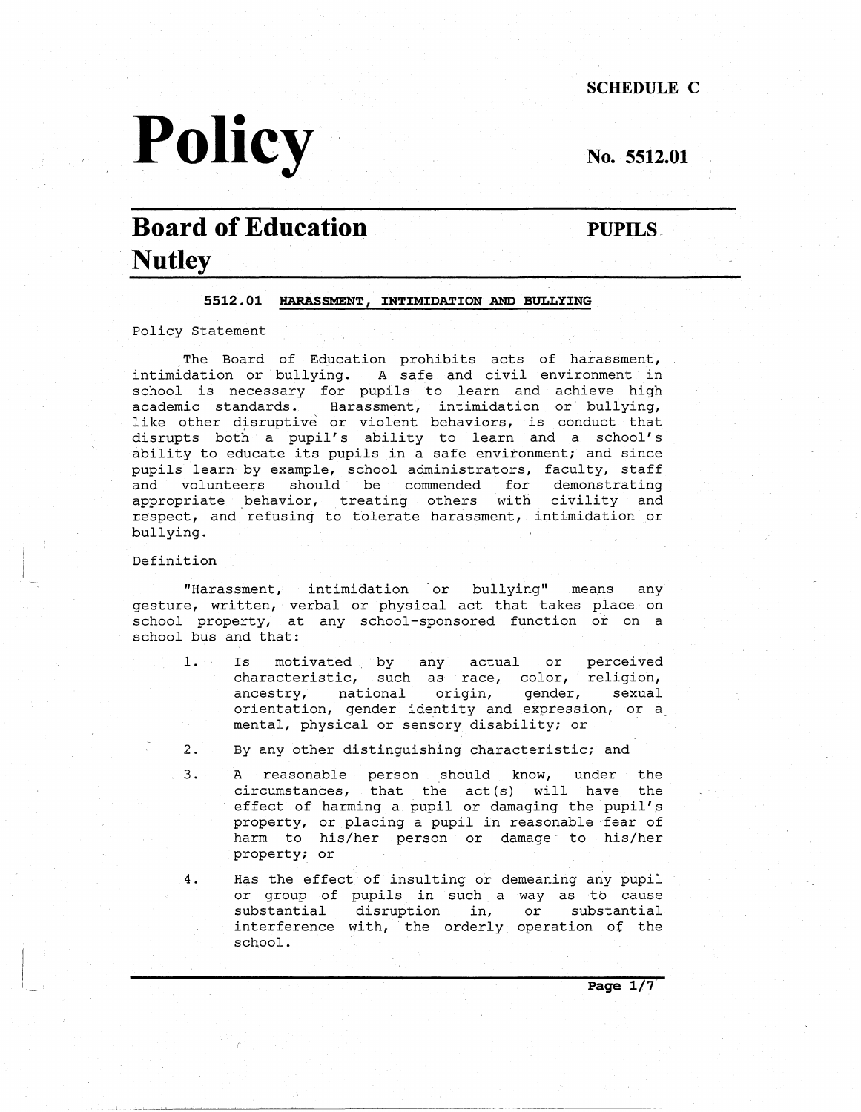**SCHEDULE C** 

Policy No. 5512.01

# **Board of Education Nutley**

**PUPILS-**

#### **5512.01 HARASSMENT, INTIMIDATION AND BULLYING**

Policy Statement

The Board of Education prohibits acts of harassment, intimidation or bullying. A safe and civil environment in school is necessary for pupils to learn and achieve high academic standards. Harassment, intimidation or bullyin like other disruptive or violent behaviors, is conduct tha disrupts both a pupil's ability to learn and a school ability to educate its pupils in a safe environment; and since pupils learn by example, school administrators, faculty, staff and volunteers should be commended for demonstrating appropriate behavior, treating others with civility and respect, and refusing to tolerate harassment, intimidation or bullying.

Definition

"Harassment, intimidation or bullying" means any gesture, written, verbal or physical act that takes place on school property, at any school-sponsored function or on a school bus and that:

- 1. Is motivated by any actual or perceived characteristic, such as race, color, religion, ancestry, national origin, gender, sexual orientation, gender identity and expression, or a mental, physical or sensory disability; or
- 2. By any other distinguishing characteristic; and
- 3. A reasonable person should know, under the circumstances, that the act(s) will have the effect of harming a pupil or damaging the pupil's property, or placing a pupil in reasonable fear of harm to his/her person or damage to his/her property; or
- 4. Has the effect of insulting or demeaning any pupil or group of pupils in such a way as to cause substantial disruption in, or substantial interference with, the orderly operation *ot* the school.

**Page 1/r**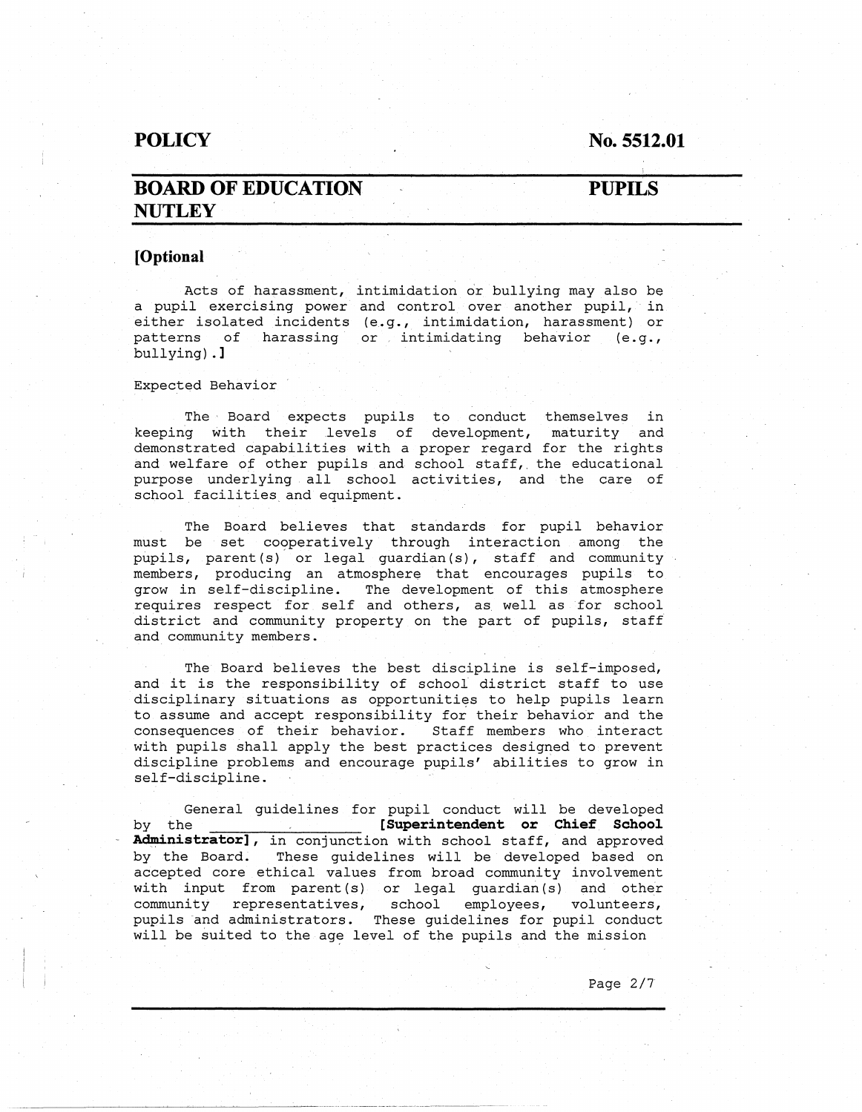**POLICY** No. 5512.01

### **BOARD OF EDUCATION NUTLEY PUPILS**

### **[Optional**

Acts of harassment, intimidation or bullying may also be a pupil exercising power and control over another pupil, in either isolated incidents (e.g., intimidation, harassment) or patterns of harassing or intimidating behavior (e.g., bullying) . ]

#### Expected Behavior

The Board expects pupils to conduct themselves in keeping with their levels of development, maturity and demonstrated capabilities with a proper regard for the rights and welfare of other pupils and school staff, the educational purpose underlying all school activities, and the care of school facilities and equipment.

The Board believes that standards for pupil behavior must be set cooperatively through interaction among the pupils, parent (s) or legal guardian (s), staff and community members, producing an atmosphere that encourages pupils to grow in self-discipline. The development of this atmosphere requires respect for self and others, as. well as for school district and community property on the part of pupils, staff and community members.

The Board believes the best discipline is self-imposed, and it is the responsibility of school district staff to use disciplinary situations as opportunities to help pupils learn to assume and accept responsibility for their behavior and the consequences of their behavior. Staff members who interact with pupils shall apply the best practices designed to prevent discipline problems and encourage pupils' abilities to grow in self-discipline.

General guidelines for pupil conduct will be developed<br>e [Superintendent or Chief School by the ---=-------- **[Superintendent or Chief School** - **Administrator],** in conjunction with school staff, and approved by the Board. These guidelines will be developed based on accepted core ethical values from broad community involvement with input from parent(s) or legal guardian(s) and other community representatives, school employees, volunteers, pupils and administrators. These guidelines for pupil conduct will be suited to the age level of the pupils and the mission

Page 2/7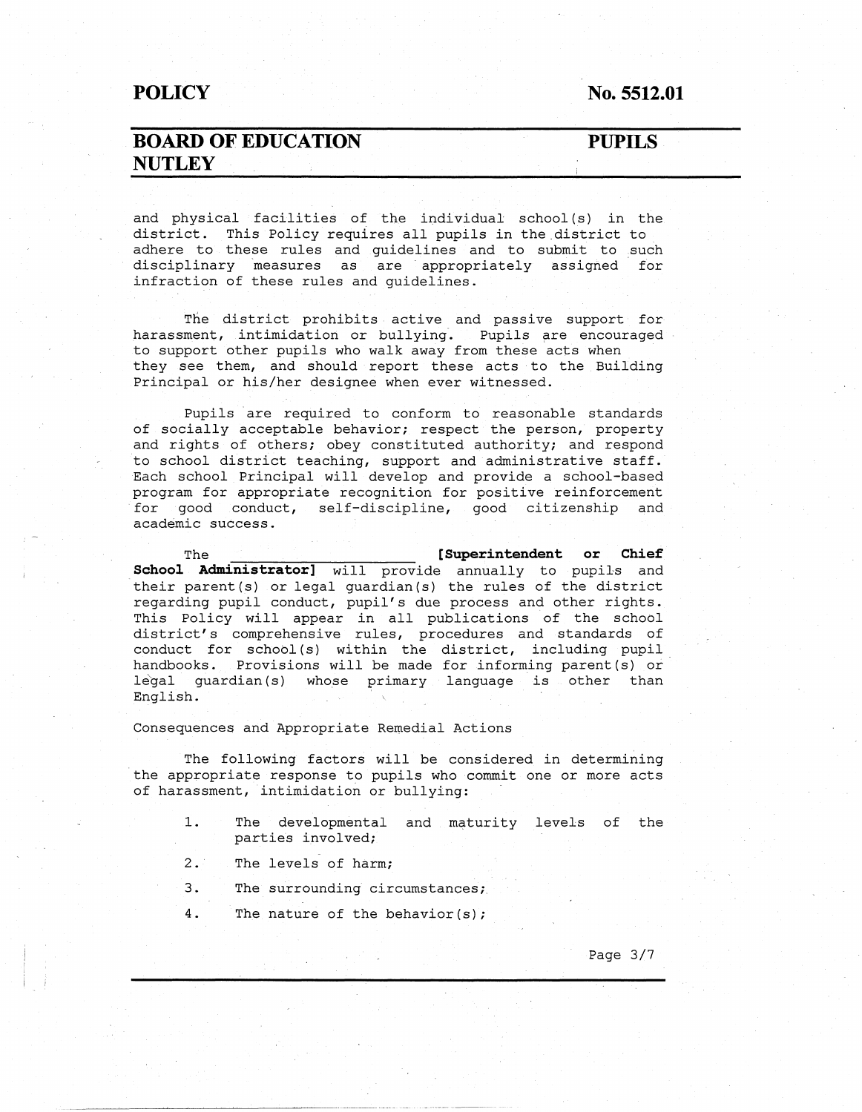### **POLICY No. 5512.01**

### **BOARD OF EDUCATION NUTLEY**

### **PUPILS**

and physical facilities of the individual school(s) in the district. This Policy requires all pupils in the district to adhere to these rules and guidelines and to submit to such disciplinary measures as are appropriately assigned for infraction of these rules and guidelines.

The district prohibits active and passive support for harassment, intimidation or bullying. Pupils are encouraged to support other pupils who walk away from these acts when they see them, and should report these acts to the Building Principal or his/her designee when ever witnessed.

Pupils are required to conform to reasonable standards of socially acceptable behavior; respect the person, property and rights of others; obey constituted authority; and respond to school district teaching, support and administrative staff. Each school Principal will develop and provide a school-based program for appropriate recognition for positive reinforcement for good conduct, self-discipline, good citizenship and academic success.

The -~---~------ **[Superintendent or Chief School Administrator]** will provide annually to pupils and their parent(s) or legal guardian(s) the rules of the district regarding pupil conduct, pupil's due process and other rights. This Policy will appear in all publications of the school district's comprehensive rules, procedures and standards of conduct for school (s) within the district, including pupil. handbooks. Provisions will be made for informing parent(s) or legal guardian(s) whose primary language is other than English.

Consequences and Appropriate Remedial Actions

The following factors will be considered in determining the appropriate response to pupils who commit one or more acts of harassment, intimidation or bullying:

- 1. The developmental and maturity levels of the parties involved;
- 2. The levels of harm;
- 3. The surrounding circumstances;
- 4. The nature of the behavior(s);

Page 3/7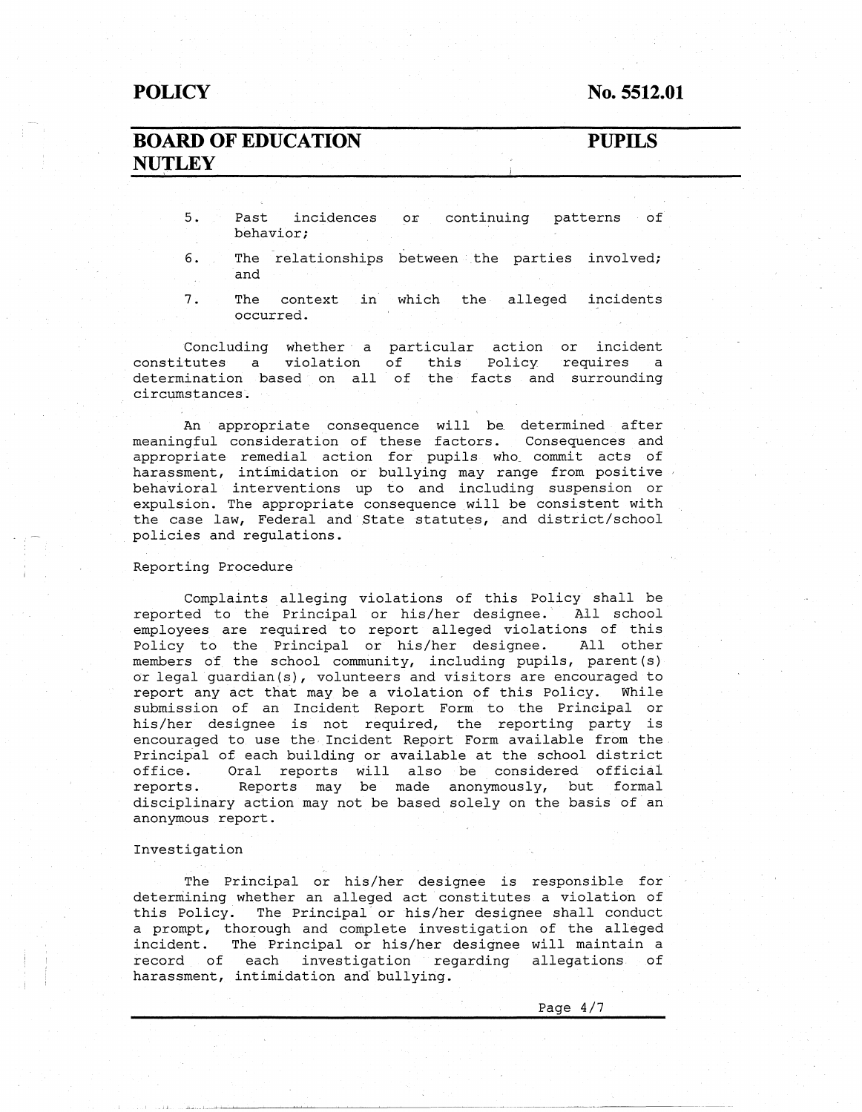### **No. 5512.01**

### **BOARD OF EDUCATION NUTLEY**

### **PUPILS**

- 5. Past incidences behavior; continuing patterns of
- 6. The relationships between the parties involve and
- 7. The context in which the alleged incider occurred.

Concluding whether a particular action or incide constitutes a violation of this Policy requires a determination based on all of the facts and surroundi circumstances.

An appropriate consequence will be. determined after meaningful consideration of these factors. Consequences and appropriate remedial action for pupils who\_ commit acts of harassment, intimidation or bullying may range from positive behavioral interventions up to and including suspension or expulsion. The appropriate consequence will be consistent with the case law, Federal and State statutes, and district/school policies and regulations.

#### Reporting Procedure

Complaints alleging violations of this Policy shall be reported to the Principal or his/her designee. All school employees are required to report alleged violations of thi Policy to the Principal or his/her designee. All othe members of the school community, including pupils, parent (s) or legal guardian(s), volunteers and visitors are encouraged to report any act that may be a violation of this Policy. While submission of an Incident Report Form to the Principal or his/her designee is not required, the reporting party is encouraged to use the. Incident Report Form available from the Principal of each building or available at the school district office. Oral reports will also be considered official reports. Reports may be made anonymously, but formal disciplinary action may not be based solely on the basis of an anonymous report.

#### Investigation

The Principal or his/her designee is responsible for determining whether an alleged act constitutes a violation of this Policy. The Principal or his/her designee shall conduct The Principal or his/her designee shall conduct a prompt, thorough and complete investigation of the alleged incident. The Principal or his/her designee will maintain a record of each investigation regarding allegations of harassment, intimidation and bullying.

Page 4/7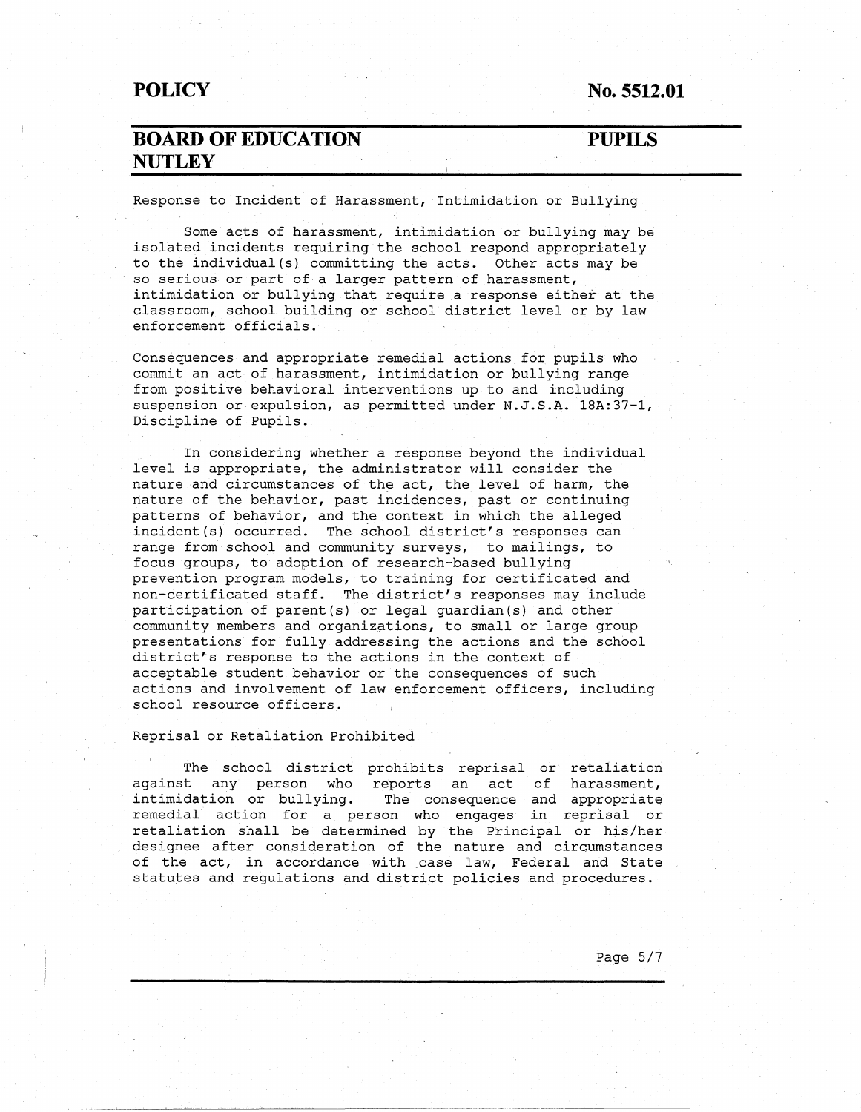### **No. 5512.01**

### **BOARD OF EDUCATION NUTLEY**

### **PUPILS**

Response to Incident of Harassment, Intimidation or Bullying

Some acts of harassment, intimidation or bullying may be isolated incidents requiring the school respond appropriately to the individual(s) committing the acts. Other acts may be so serious or part of a larger pattern of harassment, intimidation or bullying that require a response either at the classroom, school building or school district level or by law enforcement officials.

Consequences and appropriate remedial actions for pupils who commit an act of harassment, intimidation or bullying range from positive behavioral interventions up to and including suspension or expulsion, as permitted under N.J.S.A. 18A:37-l, Discipline of Pupils.

In considering whether a response beyond the individual level is appropriate, the administrator will consider the nature and circumstances of the act, the level of harm, the nature of the behavior, past incidences, past or continuing patterns of behavior, and the context in which the alleged incident(s) occurred. The school district's responses can range from school and community surveys, to mailings, to focus groups, to adoption of research-based bullying prevention program models, to training for certificated and non-certificated staff. The district's responses may include participation of parent(s) or legal guardian(s) and other community members and organizations, to small or large group presentations for fully addressing the actions and the school district's response to the actions in the context of acceptable student behavior or the consequences of such actions and involvement of law enforcement officers, including school resource officers.

#### Reprisal or Retaliation Prohibited

The school district prohibits reprisal or retaliation against any person who reports an act of harassment, intimidation or bullying. The consequence and appropriate remedial' action for a person who engages in reprisal or retaliation shall be determined by the Principal or his/her designee after consideration of the nature and circumstances of the act, in accordance with case law, Federal and State statutes and regulations and district policies and procedures.

----- ------------------------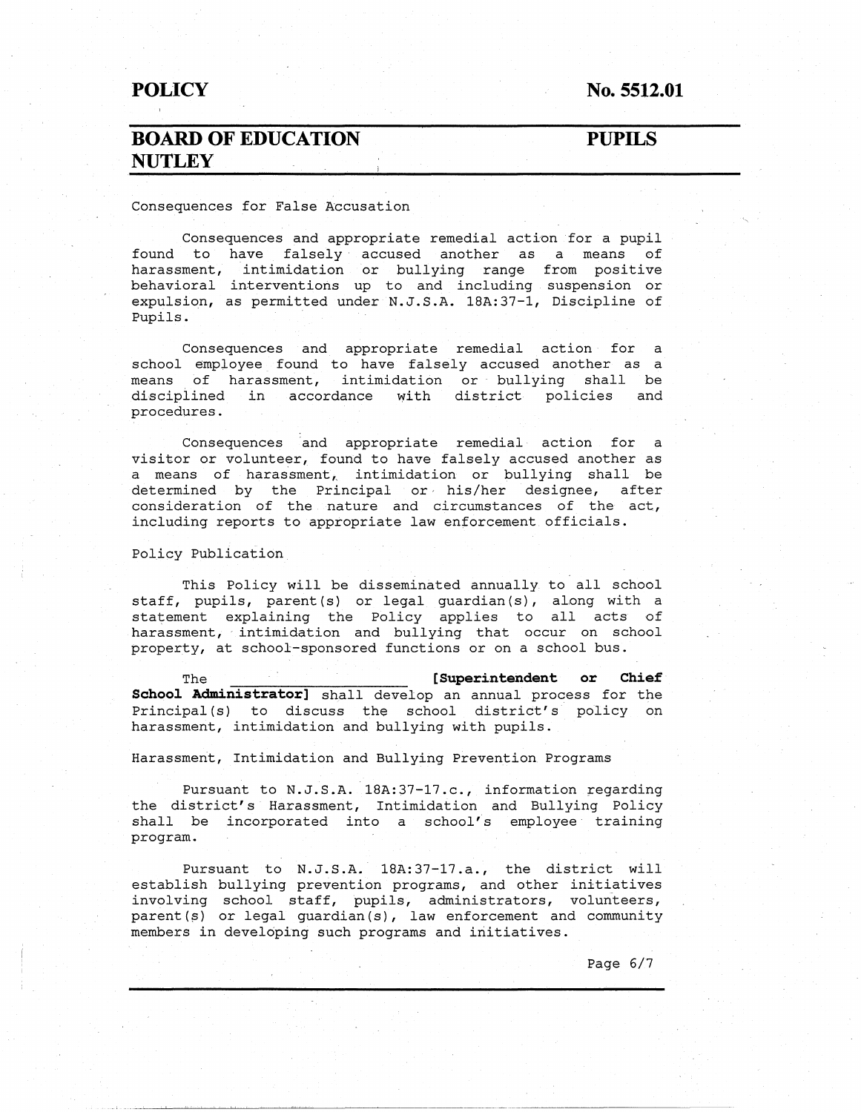### **No. 5512.01**

### **BOARD OF EDUCATION NUTLEY**

### **PUPILS**

Consequences for False Accusation

Consequences and appropriate remedial action for a pupil found to have falsely accused another as a means of harassment, intimidation or bullying range from positive behavioral interventions up to and including suspension or expulsion, as permitted under N.J.S.A. 18A:37-1, Discipline of Pupils.

Consequences and appropriate remedial action for a school employee found to have falsely accused another as a means of harassment, intimidation or bullying shall be disciplined in accordance with district policies and procedures.

Consequences and appropriate remedial action for a visitor or volunteer, found to have falsely accused another as a means of harassment, intimidation or bullying shall be determined by the Principal or his/her designee, after consideration of the nature and circumstances of the act, including reports to appropriate law enforcement officials.

Policy Publication

This Policy will be disseminated annually to all school staff, pupils, parent(s) or legal guardian(s), along with a statement explaining the Policy applies to all acts of harassment, intimidation and bullying that occur on school property, at school-sponsored functions or on a school bus.

The **Experimtendent or Chief** *chief chief* School Administrator] shall develop an annual process for the Principal(s) to discuss the school district's policy on harassment, intimidation and bullying with pupils.

Harassment, Intimidation and Bullying Prevention Programs

Pursuant to N.J.S.A. 18A: 37-17.c., information regarding the district's · Harassment, Intimidation and Bullying Policy shall be incorporated into a school's employee training program.

Pursuant to N.J.S.A. 18A:37-17.a., the district will establish bullying prevention programs, and other initiatives involving school staff, pupils, administrators, volunteers, parent(s) or legal guardian(s), law enforcement and community members in developing such programs and initiatives.

Page 6/7